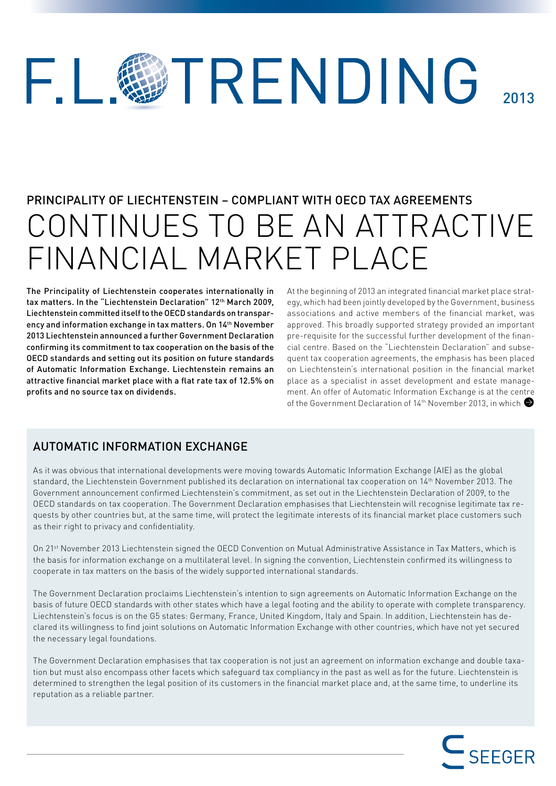## VTRENDING  $\Box$ 2013

# PRINCIPALITY OF LIECHTENSTEIN – COMPLIANT WITH OECD TAX AGREEMENTS CONTINUES TO BE AN ATTRACTIVE FINANCIAL MARKET PI ACF

The Principality of Liechtenstein cooperates internationally in tax matters. In the "Liechtenstein Declaration" 12<sup>th</sup> March 2009, Liechtenstein committed itself to the OECD standards on transparency and information exchange in tax matters. On 14<sup>th</sup> November 2013 Liechtenstein announced a further Government Declaration confirming its commitment to tax cooperation on the basis of the OECD standards and setting out its position on future standards of Automatic Information Exchange. Liechtenstein remains an attractive financial market place with a flat rate tax of 12.5% on profits and no source tax on dividends.

At the beginning of 2013 an integrated financial market place strategy, which had been jointly developed by the Government, business associations and active members of the financial market, was approved. This broadly supported strategy provided an important pre-requisite for the successful further development of the financial centre. Based on the "Liechtenstein Declaration" and subsequent tax cooperation agreements, the emphasis has been placed on Liechtenstein's international position in the financial market place as a specialist in asset development and estate management. An offer of Automatic Information Exchange is at the centre of the Government Declaration of 14<sup>th</sup> November 2013, in which

## AUTOMATIC INFORMATION EXCHANGE

As it was obvious that international developments were moving towards Automatic Information Exchange (AIE) as the global standard, the Liechtenstein Government published its declaration on international tax cooperation on 14th November 2013. The Government announcement confirmed Liechtenstein's commitment, as set out in the Liechtenstein Declaration of 2009, to the OECD standards on tax cooperation. The Government Declaration emphasises that Liechtenstein will recognise legitimate tax requests by other countries but, at the same time, will protect the legitimate interests of its financial market place customers such as their right to privacy and confidentiality.

On 21st November 2013 Liechtenstein signed the OECD Convention on Mutual Administrative Assistance in Tax Matters, which is the basis for information exchange on a multilateral level. In signing the convention, Liechtenstein confirmed its willingness to cooperate in tax matters on the basis of the widely supported international standards.

The Government Declaration proclaims Liechtenstein's intention to sign agreements on Automatic Information Exchange on the basis of future OECD standards with other states which have a legal footing and the ability to operate with complete transparency. Liechtenstein's focus is on the G5 states: Germany, France, United Kingdom, Italy and Spain. In addition, Liechtenstein has declared its willingness to find joint solutions on Automatic Information Exchange with other countries, which have not yet secured the necessary legal foundations.

The Government Declaration emphasises that tax cooperation is not just an agreement on information exchange and double taxation but must also encompass other facets which safeguard tax compliancy in the past as well as for the future. Liechtenstein is determined to strengthen the legal position of its customers in the financial market place and, at the same time, to underline its reputation as a reliable partner.

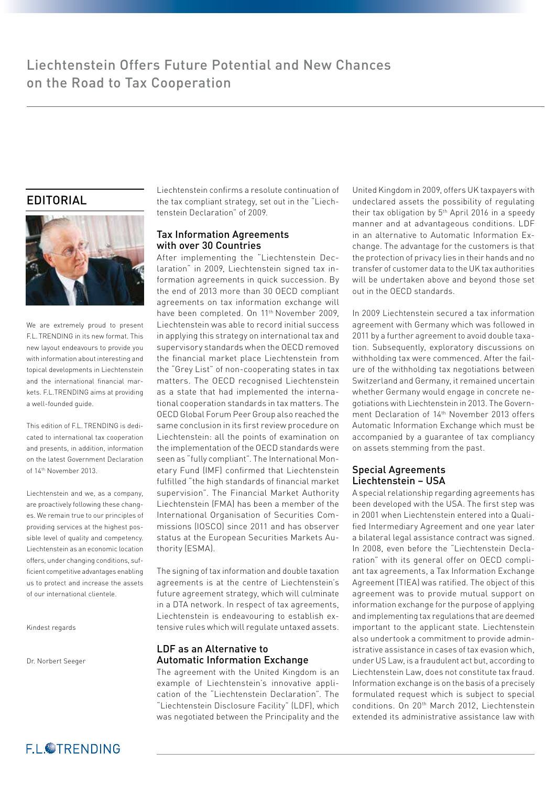## EDITORIAL



We are extremely proud to present F.L. TRENDING in its new format. This new layout endeavours to provide you with information about interesting and topical developments in Liechtenstein and the international financial markets. F.L. TRENDING aims at providing a well-founded guide.

This edition of EL. TRENDING is dedicated to international tax cooperation and presents, in addition, information on the latest Government Declaration of 14th November 2013.

Liechtenstein and we, as a company, are proactively following these changes. We remain true to our principles of providing services at the highest possible level of quality and competency. Liechtenstein as an economic location offers, under changing conditions, suffi cient competitive advantages enabling us to protect and increase the assets of our international clientele.

Kindest regards

Dr. Norbert Seeger

Liechtenstein confirms a resolute continuation of the tax compliant strategy, set out in the "Liechtenstein Declaration" of 2009.

## Tax Information Agreements with over 30 Countries

After implementing the "Liechtenstein Declaration" in 2009, Liechtenstein signed tax information agreements in quick succession. By the end of 2013 more than 30 OECD compliant agreements on tax information exchange will have been completed. On 11<sup>th</sup> November 2009, Liechtenstein was able to record initial success in applying this strategy on international tax and supervisory standards when the OECD removed the financial market place Liechtenstein from the "Grey List" of non-cooperating states in tax matters. The OECD recognised Liechtenstein as a state that had implemented the international cooperation standards in tax matters. The OECD Global Forum Peer Group also reached the same conclusion in its first review procedure on Liechtenstein: all the points of examination on the implementation of the OECD standards were seen as "fully compliant". The International Monetary Fund (IMF) confirmed that Liechtenstein fulfilled "the high standards of financial market supervision". The Financial Market Authority Liechtenstein (FMA) has been a member of the International Organisation of Securities Commissions (IOSCO) since 2011 and has observer status at the European Securities Markets Authority (ESMA).

The signing of tax information and double taxation agreements is at the centre of Liechtenstein's future agreement strategy, which will culminate in a DTA network. In respect of tax agreements, Liechtenstein is endeavouring to establish extensive rules which will regulate untaxed assets.

## LDF as an Alternative to Automatic Information Exchange

The agreement with the United Kingdom is an example of Liechtenstein's innovative application of the "Liechtenstein Declaration". The "Liechtenstein Disclosure Facility" (LDF), which was negotiated between the Principality and the United Kingdom in 2009, offers UK taxpayers with undeclared assets the possibility of regulating their tax obligation by 5th April 2016 in a speedy manner and at advantageous conditions. LDF in an alternative to Automatic Information Exchange. The advantage for the customers is that the protection of privacy lies in their hands and no transfer of customer data to the UK tax authorities will be undertaken above and beyond those set out in the OECD standards.

In 2009 Liechtenstein secured a tax information agreement with Germany which was followed in 2011 by a further agreement to avoid double taxation. Subsequently, exploratory discussions on withholding tax were commenced. After the failure of the withholding tax negotiations between Switzerland and Germany, it remained uncertain whether Germany would engage in concrete negotiations with Liechtenstein in 2013. The Government Declaration of 14th November 2013 offers Automatic Information Exchange which must be accompanied by a guarantee of tax compliancy on assets stemming from the past.

### Special Agreements Liechtenstein – USA

A special relationship regarding agreements has been developed with the USA. The first step was in 2001 when Liechtenstein entered into a Qualified Intermediary Agreement and one year later a bilateral legal assistance contract was signed. In 2008, even before the "Liechtenstein Declaration" with its general offer on OECD compliant tax agreements, a Tax Information Exchange Agreement (TIEA) was ratified. The object of this agreement was to provide mutual support on information exchange for the purpose of applying and implementing tax regulations that are deemed important to the applicant state. Liechtenstein also undertook a commitment to provide administrative assistance in cases of tax evasion which, under US Law, is a fraudulent act but, according to Liechtenstein Law, does not constitute tax fraud. Information exchange is on the basis of a precisely formulated request which is subject to special conditions. On 20th March 2012, Liechtenstein extended its administrative assistance law with

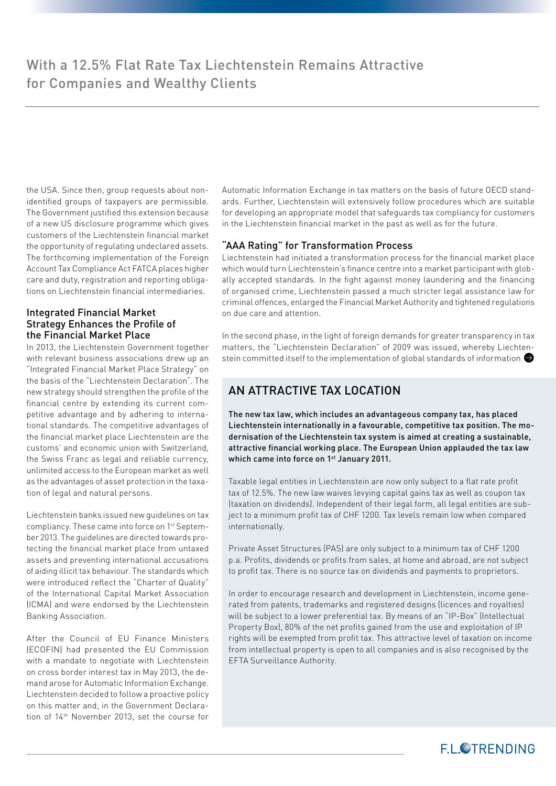the USA. Since then, group requests about nonidentified groups of taxpayers are permissible. The Government justified this extension because of a new US disclosure programme which gives customers of the Liechtenstein financial market the opportunity of regulating undeclared assets. The forthcoming implementation of the Foreign Account Tax Compliance Act FATCA places higher care and duty, registration and reporting obligations on Liechtenstein financial intermediaries.

#### Integrated Financial Market Strategy Enhances the Profile of the Financial Market Place

In 2013, the Liechtenstein Government together with relevant business associations drew up an "Integrated Financial Market Place Strategy" on the basis of the "Liechtenstein Declaration". The new strategy should strengthen the profile of the financial centre by extending its current competitive advantage and by adhering to international standards. The competitive advantages of the financial market place Liechtenstein are the customs' and economic union with Switzerland, the Swiss Franc as legal and reliable currency, unlimited access to the European market as well as the advantages of asset protection in the taxation of legal and natural persons.

Liechtenstein banks issued new guidelines on tax compliancy. These came into force on 1st September 2013. The guidelines are directed towards protecting the financial market place from untaxed assets and preventing international accusations of aiding illicit tax behaviour. The standards which were introduced reflect the "Charter of Quality" of the International Capital Market Association (ICMA) and were endorsed by the Liechtenstein Banking Association.

After the Council of EU Finance Ministers (ECOFIN) had presented the EU Commission with a mandate to negotiate with Liechtenstein on cross border interest tax in May 2013, the demand arose for Automatic Information Exchange. Liechtenstein decided to follow a proactive policy on this matter and, in the Government Declaration of 14th November 2013, set the course for Automatic Information Exchange in tax matters on the basis of future OECD standards. Further, Liechtenstein will extensively follow procedures which are suitable for developing an appropriate model that safeguards tax compliancy for customers in the Liechtenstein financial market in the past as well as for the future.

#### "AAA Rating" for Transformation Process

Liechtenstein had initiated a transformation process for the financial market place which would turn Liechtenstein's finance centre into a market participant with globally accepted standards. In the fight against money laundering and the financing of organised crime, Liechtenstein passed a much stricter legal assistance law for criminal offences, enlarged the Financial Market Authority and tightened regulations on due care and attention.

In the second phase, in the light of foreign demands for greater transparency in tax matters, the "Liechtenstein Declaration" of 2009 was issued, whereby Liechtenstein committed itself to the implementation of global standards of information

## AN ATTRACTIVE TAX LOCATION

The new tax law, which includes an advantageous company tax, has placed Liechtenstein internationally in a favourable, competitive tax position. The modernisation of the Liechtenstein tax system is aimed at creating a sustainable, attractive financial working place. The European Union applauded the tax law which came into force on 1<sup>st</sup> January 2011.

Taxable legal entities in Liechtenstein are now only subject to a flat rate profit tax of 12.5%. The new law waives levying capital gains tax as well as coupon tax (taxation on dividends). Independent of their legal form, all legal entities are subject to a minimum profit tax of CHF 1200. Tax levels remain low when compared internationally.

Private Asset Structures (PAS) are only subject to a minimum tax of CHF 1200 p.a. Profits, dividends or profits from sales, at home and abroad, are not subject to profit tax. There is no source tax on dividends and payments to proprietors.

In order to encourage research and development in Liechtenstein, income generated from patents, trademarks and registered designs (licences and royalties) will be subject to a lower preferential tax. By means of an "IP-Box" (Intellectual Property Box), 80% of the net profits gained from the use and exploitation of IP rights will be exempted from profit tax. This attractive level of taxation on income from intellectual property is open to all companies and is also recognised by the EFTA Surveillance Authority.